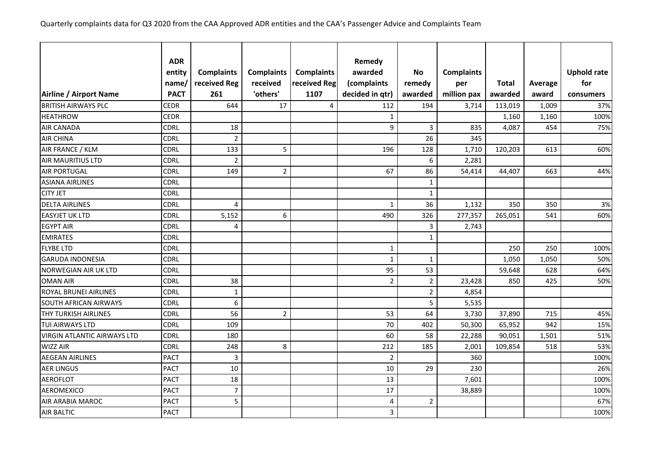|                                    | <b>ADR</b>  |                   |                   |                   |                   |                |                   |              |         |                    |
|------------------------------------|-------------|-------------------|-------------------|-------------------|-------------------|----------------|-------------------|--------------|---------|--------------------|
|                                    | entity      | <b>Complaints</b> | <b>Complaints</b> | <b>Complaints</b> | Remedy<br>awarded | <b>No</b>      | <b>Complaints</b> |              |         | <b>Uphold rate</b> |
|                                    | name        | received Reg      | received          | received Reg      | (complaints       | remedy         | per               | <b>Total</b> | Average | for                |
| Airline / Airport Name             | <b>PACT</b> | 261               | 'others'          | 1107              | decided in qtr)   | awarded        | million pax       | awarded      | award   | consumers          |
| <b>BRITISH AIRWAYS PLC</b>         | <b>CEDR</b> | 644               | 17                | $\overline{4}$    | 112               | 194            | 3,714             | 113,019      | 1,009   | 37%                |
| <b>HEATHROW</b>                    | <b>CEDR</b> |                   |                   |                   | $\mathbf{1}$      |                |                   | 1,160        | 1,160   | 100%               |
| <b>AIR CANADA</b>                  | <b>CDRL</b> | 18                |                   |                   | 9                 | 3              | 835               | 4,087        | 454     | 75%                |
| <b>AIR CHINA</b>                   | <b>CDRL</b> | $\overline{2}$    |                   |                   |                   | 26             | 345               |              |         |                    |
| AIR FRANCE / KLM                   | <b>CDRL</b> | 133               | 5                 |                   | 196               | 128            | 1,710             | 120,203      | 613     | 60%                |
| <b>AIR MAURITIUS LTD</b>           | <b>CDRL</b> | $\overline{2}$    |                   |                   |                   | 6              | 2,281             |              |         |                    |
| <b>AIR PORTUGAL</b>                | <b>CDRL</b> | 149               | $\overline{2}$    |                   | 67                | 86             | 54,414            | 44,407       | 663     | 44%                |
| <b>ASIANA AIRLINES</b>             | <b>CDRL</b> |                   |                   |                   |                   | $\mathbf{1}$   |                   |              |         |                    |
| <b>CITY JET</b>                    | <b>CDRL</b> |                   |                   |                   |                   | $\mathbf{1}$   |                   |              |         |                    |
| <b>DELTA AIRLINES</b>              | <b>CDRL</b> | $\overline{4}$    |                   |                   | $\mathbf{1}$      | 36             | 1,132             | 350          | 350     | 3%                 |
| <b>EASYJET UK LTD</b>              | <b>CDRL</b> | 5,152             | 6                 |                   | 490               | 326            | 277,357           | 265,051      | 541     | 60%                |
| <b>EGYPT AIR</b>                   | <b>CDRL</b> | $\overline{4}$    |                   |                   |                   | 3              | 2,743             |              |         |                    |
| <b>EMIRATES</b>                    | <b>CDRL</b> |                   |                   |                   |                   | $\mathbf{1}$   |                   |              |         |                    |
| <b>FLYBE LTD</b>                   | <b>CDRL</b> |                   |                   |                   | $\mathbf 1$       |                |                   | 250          | 250     | 100%               |
| <b>GARUDA INDONESIA</b>            | <b>CDRL</b> |                   |                   |                   | $\mathbf{1}$      | $\mathbf{1}$   |                   | 1,050        | 1,050   | 50%                |
| NORWEGIAN AIR UK LTD               | CDRL        |                   |                   |                   | 95                | 53             |                   | 59,648       | 628     | 64%                |
| <b>OMAN AIR</b>                    | <b>CDRL</b> | 38                |                   |                   | $\overline{2}$    | $\overline{2}$ | 23,428            | 850          | 425     | 50%                |
| <b>ROYAL BRUNEI AIRLINES</b>       | <b>CDRL</b> | $\mathbf{1}$      |                   |                   |                   | $\overline{2}$ | 4,854             |              |         |                    |
| <b>SOUTH AFRICAN AIRWAYS</b>       | <b>CDRL</b> | $\boldsymbol{6}$  |                   |                   |                   | 5              | 5,535             |              |         |                    |
| <b>THY TURKISH AIRLINES</b>        | <b>CDRL</b> | 56                | $\overline{2}$    |                   | 53                | 64             | 3,730             | 37,890       | 715     | 45%                |
| <b>TUI AIRWAYS LTD</b>             | <b>CDRL</b> | 109               |                   |                   | 70                | 402            | 50,300            | 65,952       | 942     | 15%                |
| <b>VIRGIN ATLANTIC AIRWAYS LTD</b> | <b>CDRL</b> | 180               |                   |                   | 60                | 58             | 22,288            | 90,051       | 1,501   | 51%                |
| <b>WIZZ AIR</b>                    | <b>CDRL</b> | 248               | 8                 |                   | 212               | 185            | 2,001             | 109,854      | 518     | 53%                |
| <b>AEGEAN AIRLINES</b>             | <b>PACT</b> | $\mathbf{3}$      |                   |                   | $\mathbf 2$       |                | 360               |              |         | 100%               |
| <b>AER LINGUS</b>                  | <b>PACT</b> | 10                |                   |                   | 10                | 29             | 230               |              |         | 26%                |
| <b>AEROFLOT</b>                    | <b>PACT</b> | 18                |                   |                   | 13                |                | 7,601             |              |         | 100%               |
| <b>AEROMEXICO</b>                  | <b>PACT</b> | $\overline{7}$    |                   |                   | 17                |                | 38,889            |              |         | 100%               |
| AIR ARABIA MAROC                   | <b>PACT</b> | 5                 |                   |                   | 4                 | $\overline{2}$ |                   |              |         | 67%                |
| <b>AIR BALTIC</b>                  | <b>PACT</b> |                   |                   |                   | $\overline{3}$    |                |                   |              |         | 100%               |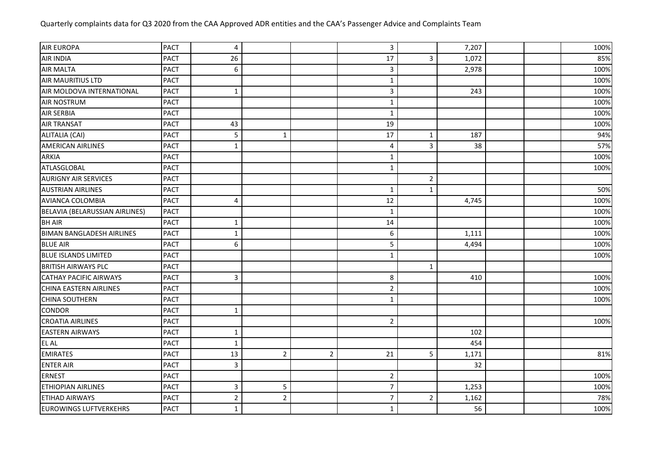| <b>AIR EUROPA</b>                | <b>PACT</b> | 4              |                |                | $\overline{3}$   |                | 7,207 |  | 100% |
|----------------------------------|-------------|----------------|----------------|----------------|------------------|----------------|-------|--|------|
| <b>AIR INDIA</b>                 | <b>PACT</b> | 26             |                |                | 17               | $\mathbf{3}$   | 1,072 |  | 85%  |
| <b>AIR MALTA</b>                 | <b>PACT</b> | 6              |                |                | 3                |                | 2,978 |  | 100% |
| <b>AIR MAURITIUS LTD</b>         | <b>PACT</b> |                |                |                | $\mathbf{1}$     |                |       |  | 100% |
| AIR MOLDOVA INTERNATIONAL        | <b>PACT</b> | $\mathbf 1$    |                |                | 3                |                | 243   |  | 100% |
| <b>AIR NOSTRUM</b>               | <b>PACT</b> |                |                |                | $\mathbf 1$      |                |       |  | 100% |
| <b>AIR SERBIA</b>                | <b>PACT</b> |                |                |                | $\mathbf{1}$     |                |       |  | 100% |
| <b>AIR TRANSAT</b>               | <b>PACT</b> | 43             |                |                | 19               |                |       |  | 100% |
| ALITALIA (CAI)                   | <b>PACT</b> | 5              | $\mathbf{1}$   |                | 17               | $\mathbf{1}$   | 187   |  | 94%  |
| <b>AMERICAN AIRLINES</b>         | <b>PACT</b> | $\mathbf{1}$   |                |                | $\overline{4}$   | $\overline{3}$ | 38    |  | 57%  |
| <b>ARKIA</b>                     | <b>PACT</b> |                |                |                | $\mathbf{1}$     |                |       |  | 100% |
| ATLASGLOBAL                      | <b>PACT</b> |                |                |                | $\mathbf{1}$     |                |       |  | 100% |
| <b>AURIGNY AIR SERVICES</b>      | <b>PACT</b> |                |                |                |                  | $\overline{2}$ |       |  |      |
| <b>AUSTRIAN AIRLINES</b>         | <b>PACT</b> |                |                |                | $\mathbf{1}$     | $\mathbf{1}$   |       |  | 50%  |
| AVIANCA COLOMBIA                 | <b>PACT</b> | 4              |                |                | 12               |                | 4,745 |  | 100% |
| BELAVIA (BELARUSSIAN AIRLINES)   | <b>PACT</b> |                |                |                | 1                |                |       |  | 100% |
| <b>BH AIR</b>                    | <b>PACT</b> | $\mathbf{1}$   |                |                | 14               |                |       |  | 100% |
| <b>BIMAN BANGLADESH AIRLINES</b> | <b>PACT</b> | $\mathbf 1$    |                |                | $\boldsymbol{6}$ |                | 1,111 |  | 100% |
| <b>BLUE AIR</b>                  | <b>PACT</b> | 6              |                |                | 5                |                | 4,494 |  | 100% |
| <b>BLUE ISLANDS LIMITED</b>      | <b>PACT</b> |                |                |                | $\mathbf 1$      |                |       |  | 100% |
| <b>BRITISH AIRWAYS PLC</b>       | <b>PACT</b> |                |                |                |                  | $\mathbf{1}$   |       |  |      |
| <b>CATHAY PACIFIC AIRWAYS</b>    | <b>PACT</b> | 3              |                |                | 8                |                | 410   |  | 100% |
| CHINA EASTERN AIRLINES           | <b>PACT</b> |                |                |                | $\overline{2}$   |                |       |  | 100% |
| <b>CHINA SOUTHERN</b>            | <b>PACT</b> |                |                |                | $\mathbf{1}$     |                |       |  | 100% |
| <b>CONDOR</b>                    | <b>PACT</b> | $\mathbf{1}$   |                |                |                  |                |       |  |      |
| <b>CROATIA AIRLINES</b>          | <b>PACT</b> |                |                |                | $\overline{2}$   |                |       |  | 100% |
| <b>EASTERN AIRWAYS</b>           | <b>PACT</b> | $\mathbf{1}$   |                |                |                  |                | 102   |  |      |
| <b>EL AL</b>                     | <b>PACT</b> | $\mathbf{1}$   |                |                |                  |                | 454   |  |      |
| <b>EMIRATES</b>                  | <b>PACT</b> | 13             | $\overline{2}$ | $\overline{2}$ | 21               | 5              | 1,171 |  | 81%  |
| <b>ENTER AIR</b>                 | <b>PACT</b> | 3              |                |                |                  |                | 32    |  |      |
| <b>ERNEST</b>                    | <b>PACT</b> |                |                |                | $\overline{2}$   |                |       |  | 100% |
| <b>ETHIOPIAN AIRLINES</b>        | <b>PACT</b> | 3              | 5              |                | $\overline{7}$   |                | 1,253 |  | 100% |
| <b>ETIHAD AIRWAYS</b>            | <b>PACT</b> | $\overline{2}$ | $\overline{2}$ |                | $\overline{7}$   | $\overline{2}$ | 1,162 |  | 78%  |
| <b>EUROWINGS LUFTVERKEHRS</b>    | <b>PACT</b> | $\mathbf 1$    |                |                | $\mathbf{1}$     |                | 56    |  | 100% |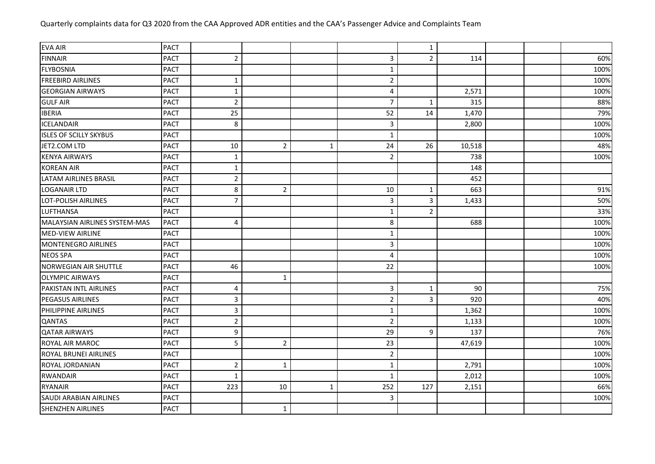| <b>PACT</b> |                |                |   |                | $\mathbf{1}$   |        |  |      |
|-------------|----------------|----------------|---|----------------|----------------|--------|--|------|
| <b>PACT</b> | $\overline{2}$ |                |   | 3              | $\overline{2}$ | 114    |  | 60%  |
| <b>PACT</b> |                |                |   | $\mathbf 1$    |                |        |  | 100% |
| <b>PACT</b> | $\mathbf{1}$   |                |   | $\overline{2}$ |                |        |  | 100% |
| <b>PACT</b> | $\mathbf{1}$   |                |   | 4              |                | 2,571  |  | 100% |
| <b>PACT</b> | $\overline{2}$ |                |   | 7              | $\mathbf{1}$   | 315    |  | 88%  |
| <b>PACT</b> | 25             |                |   | 52             | 14             | 1,470  |  | 79%  |
| <b>PACT</b> | 8              |                |   | 3              |                | 2,800  |  | 100% |
| <b>PACT</b> |                |                |   | 1              |                |        |  | 100% |
| <b>PACT</b> | 10             | $\overline{2}$ | 1 | 24             | 26             | 10,518 |  | 48%  |
| <b>PACT</b> | $\mathbf{1}$   |                |   | $\overline{2}$ |                | 738    |  | 100% |
| <b>PACT</b> | $\mathbf{1}$   |                |   |                |                | 148    |  |      |
| <b>PACT</b> | $\overline{2}$ |                |   |                |                | 452    |  |      |
| <b>PACT</b> | 8              | $\overline{2}$ |   | 10             | $\mathbf{1}$   | 663    |  | 91%  |
| <b>PACT</b> | $\overline{7}$ |                |   | 3              | 3              | 1,433  |  | 50%  |
| <b>PACT</b> |                |                |   | $\mathbf 1$    | $\overline{2}$ |        |  | 33%  |
| <b>PACT</b> | 4              |                |   | 8              |                | 688    |  | 100% |
| <b>PACT</b> |                |                |   | $\mathbf{1}$   |                |        |  | 100% |
| <b>PACT</b> |                |                |   | 3              |                |        |  | 100% |
| <b>PACT</b> |                |                |   | $\overline{4}$ |                |        |  | 100% |
| <b>PACT</b> | 46             |                |   | 22             |                |        |  | 100% |
| <b>PACT</b> |                | $\mathbf{1}$   |   |                |                |        |  |      |
| <b>PACT</b> | 4              |                |   | 3              | $\mathbf{1}$   | 90     |  | 75%  |
| <b>PACT</b> | 3              |                |   | $\overline{2}$ | 3              | 920    |  | 40%  |
| <b>PACT</b> | 3              |                |   | $\mathbf{1}$   |                | 1,362  |  | 100% |
| <b>PACT</b> | $\overline{2}$ |                |   | $\overline{2}$ |                | 1,133  |  | 100% |
| <b>PACT</b> | 9              |                |   | 29             | 9              | 137    |  | 76%  |
|             |                |                |   |                |                |        |  |      |

ROYAL AIR MAROC PACT 5 2 23 47,619 100% ROYAL BRUNEI AIRLINES PACT PACT THE ROYAL BRUNEI AIRLINES PACT PACT THE ROYAL BRUNEI AIRLINES ROYAL JORDANIAN PACT 2 1 1 2,791 100% RWANDAIR |PACT | 1 | | 1 | | 2,012 | | 100% RYANAIR PACT 223 10 1 252 127 2,151 66% SAUDI ARABIAN AIRLINES PACT PACT COMPANY AND RELATIONS AND RELATIONS AND RELATIONS AND RELATIONS

SHENZHEN AIRLINES PACT PACT 1